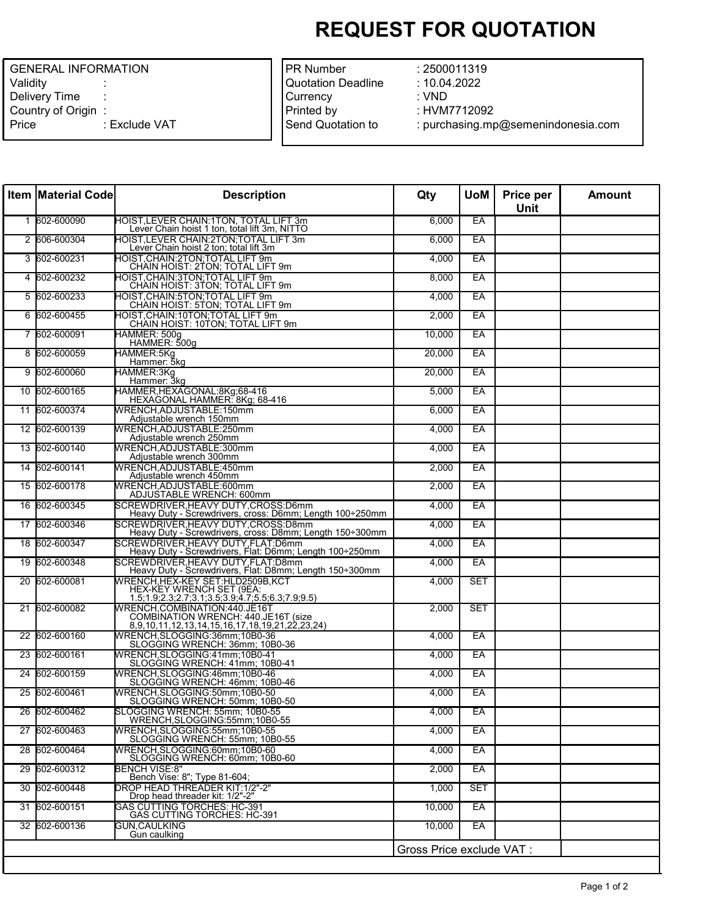## **REQUEST FOR QUOTATION**

| <b>GENERAL INFORMATION</b> |               |  |  |  |
|----------------------------|---------------|--|--|--|
| Validity                   |               |  |  |  |
| Delivery Time              |               |  |  |  |
| Country of Origin          |               |  |  |  |
| Price                      | : Exclude VAT |  |  |  |
|                            |               |  |  |  |

| <b>PR Number</b>   |
|--------------------|
| Quotation Deadline |
| Currency           |
| Printed by         |
| Send Quotation to  |
|                    |

: 2500011319 : 10.04.2022 : VND : HVM7712092 : purchasing.mp@semenindonesia.com

| <b>Item Material Code</b> | <b>Description</b>                                                                                                       | Qty                       | <b>UoM</b> | Price per<br><b>Unit</b> | <b>Amount</b> |
|---------------------------|--------------------------------------------------------------------------------------------------------------------------|---------------------------|------------|--------------------------|---------------|
| 1 602-600090              | HOIST, LEVER CHAIN: 1TON, TOTAL LIFT 3m<br>Lever Chain hoist 1 ton, total lift 3m, NITTO                                 | 6,000                     | EA         |                          |               |
| 2 606-600304              | <b>HOIST,LEVER CHAIN:2TON;TOTAL LIFT 3m</b><br>Lever Chain hoist 2 ton; total lift 3m                                    | 6,000                     | EA         |                          |               |
| 3 602-600231              | HOIST,CHAIN:2TON;TOTAL LIFT 9m<br>CHAIN HOIST: 2TON; TOTAL LIFT 9m                                                       | 4,000                     | EA         |                          |               |
| 4 602-600232              | HOIST, CHAIN: 3TON; TOTAL LIFT 9m<br>CHAIN HOIST: 3TON; TOTAL LIFT 9m                                                    | 8,000                     | EA         |                          |               |
| 5 602-600233              | HOIST,CHAIN:5TON;TOTAL LIFT 9m<br>CHAIN HOIST: 5TON; TOTAL LIFT 9m                                                       | 4,000                     | EA         |                          |               |
| 6 602-600455              | HOIST, CHAIN: 10TON, TOTAL LIFT 9m<br>CHAIN HOIST: 10TON; TOTAL LIFT 9m                                                  | 2,000                     | EA         |                          |               |
| 7 602-600091              | HAMMER: 500g<br>HAMMER: 500g                                                                                             | 10,000                    | EA         |                          |               |
| 8 602-600059              | HAMMER:5Kg<br>Hammer: 5kq                                                                                                | 20,000                    | EA         |                          |               |
| 9 602-600060              | HAMMER:3Kg<br>Hammer: 3kg                                                                                                | 20,000                    | EA         |                          |               |
| 10 602-600165             | HAMMER, HEXAGONAL: 8Kg; 68-416<br>HEXAGONAL HAMMER: 8Kg; 68-416                                                          | 5,000                     | EA         |                          |               |
| 11 602-600374             | WRENCH, ADJUSTABLE: 150mm<br>Adjustable wrench 150mm                                                                     | 6,000                     | EA         |                          |               |
| 12 602-600139             | WRENCH, ADJUSTABLE: 250mm<br>Adjustable wrench 250mm                                                                     | 4,000                     | EA         |                          |               |
| 13 602-600140             | WRENCH.ADJUSTABLE:300mm<br>Adjustable wrench 300mm                                                                       | 4,000                     | EA         |                          |               |
| 14 602-600141             | WRENCH, ADJUSTABLE: 450mm<br>Adjustable wrench 450mm                                                                     | 2,000                     | EA         |                          |               |
| 15 602-600178             | WRENCH, ADJUSTABLE: 600mm<br>ADJUSTABLE WRENCH: 600mm                                                                    | 2,000                     | EA         |                          |               |
| 16 602-600345             | SCREWDRIVER, HEAVY DUTY, CROSS: D6mm<br>Heavy Duty - Screwdrivers, cross: D6mm; Length 100÷250mm                         | 4,000                     | EA         |                          |               |
| 17 602-600346             | SCREWDRIVER.HEAVY DUTY.CROSS:D8mm<br>Heavy Duty - Screwdrivers, cross: D8mm; Length 150÷300mm                            | 4.000                     | EA         |                          |               |
| 18 602-600347             | SCREWDRIVER, HEAVY DUTY, FLAT: D6mm<br>Heavy Duty - Screwdrivers, Flat: D6mm; Length 100÷250mm                           | 4,000                     | EA         |                          |               |
| 19 602-600348             | SCREWDRIVER, HEAVY DUTY, FLAT: D8mm<br>Heavy Duty - Screwdrivers, Flat: D8mm; Length 150÷300mm                           | 4,000                     | EA         |                          |               |
| 20 602-600081             | WRENCH,HEX-KEY SET:HLD2509B,KCT<br>HEX-KEY WRENCH SET (9EA:<br>1.5;1.9;2.3;2.7;3.1;3.5;3.9;4.7;5.5;6.3;7.9;9.5)          | 4,000                     | <b>SET</b> |                          |               |
| 21 602-600082             | WRENCH, COMBINATION: 440. JE16T<br>COMBINATION WRENCH: 440.JE16T (size<br>8,9,10,11,12,13,14,15,16,17,18,19,21,22,23,24) | 2,000                     | <b>SET</b> |                          |               |
| 22 602-600160             | WRENCH, SLOGGING: 36mm; 10B0-36<br>SLOGGING WRENCH: 36mm; 10B0-36                                                        | 4,000                     | EA         |                          |               |
| 23 602-600161             | WRENCH, SLOGGING: 41mm; 10B0-41<br>SLOGGING WRENCH: 41mm; 10B0-41                                                        | 4,000                     | EA         |                          |               |
| 24 602-600159             | WRENCH, SLOGGING: 46mm; 10B0-46<br>SLOGGING WRENCH: 46mm; 10B0-46                                                        | 4,000                     | EA         |                          |               |
| 25 602-600461             | WRENCH, SLOGGING: 50mm; 10B0-50<br>SLOGGING WRENCH: 50mm; 10B0-50                                                        | 4,000                     | EA         |                          |               |
| 26 602-600462             | SLOGGING WRENCH: 55mm; 10B0-55<br>WRENCH, SLOGGING: 55mm; 10B0-55                                                        | 4,000                     | EA         |                          |               |
| 27 602-600463             | WRENCH, SLOGGING: 55mm; 10B0-55<br>SLOGGING WRENCH: 55mm; 10B0-55                                                        | 4,000                     | EA         |                          |               |
| 28 602-600464             | WRENCH, SLOGGING: 60mm; 10B0-60<br>SLOGGING WRENCH: 60mm; 10B0-60                                                        | 4.000                     | EA         |                          |               |
| 29 602-600312             | BENCH VISE:8"<br>Bench Vise: 8"; Type 81-604;                                                                            | 2,000                     | EA         |                          |               |
| 30 602-600448             | DROP HEAD THREADER KIT:1/2"-2"<br>Drop head threader kit: 1/2"-2"                                                        | 1,000                     | <b>SET</b> |                          |               |
| 31 602-600151             | <b>GAS CUTTING TORCHES: HC-391</b><br><b>GAS CUTTING TORCHES: HC-391</b>                                                 | 10,000                    | EA         |                          |               |
| 32 602-600136             | GUN.CAULKING<br>Gun caulking                                                                                             | 10,000                    | EA         |                          |               |
|                           |                                                                                                                          | Gross Price exclude VAT : |            |                          |               |
|                           |                                                                                                                          |                           |            |                          |               |